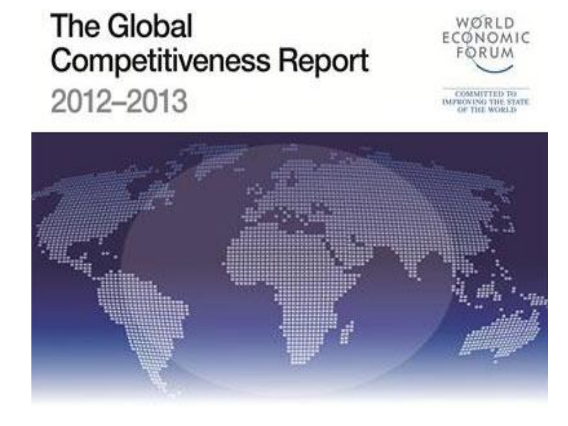# **The Global Competitiveness Report** 2012-2013



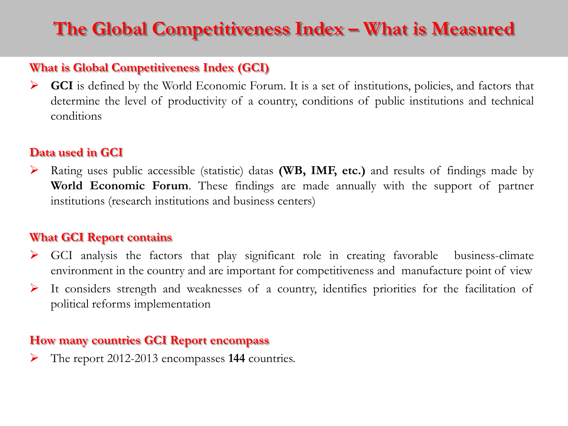# **The Global Competitiveness Index – What is Measured**

### **What is Global Competitiveness Index (GCI)**

GCI is defined by the World Economic Forum. It is a set of institutions, policies, and factors that determine the level of productivity of a country, conditions of public institutions and technical conditions

### **Data used in GCI**

 Rating uses public accessible (statistic) datas **(WB, IMF, etc.)** and results of findings made by **World Economic Forum**. These findings are made annually with the support of partner institutions (research institutions and business centers)

### **What GCI Report contains**

- GCI analysis the factors that play significant role in creating favorable business-climate environment in the country and are important for competitiveness and manufacture point of view
- $\triangleright$  It considers strength and weaknesses of a country, identifies priorities for the facilitation of political reforms implementation

### **How many countries GCI Report encompass**

The report 2012-2013 encompasses **144** countries.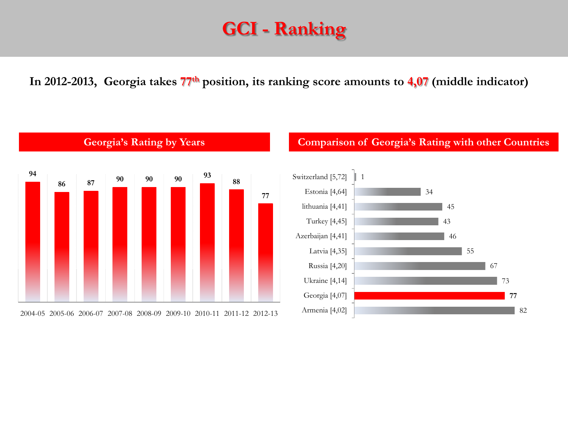## **GCI - Ranking**

**In 2012-2013, Georgia takes 77th position, its ranking score amounts to 4,07 (middle indicator)**



### **Georgia's Rating by Years Comparison of Georgia's Rating with other Countries**

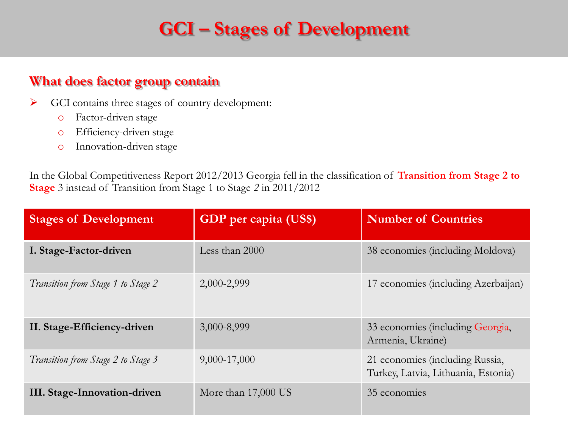# **GCI – Stages of Development**

### **What does factor group contain**

- GCI contains three stages of country development:
	- o Factor-driven stage
	- o Efficiency-driven stage
	- o Innovation-driven stage

In the Global Competitiveness Report 2012/2013 Georgia fell in the classification of **Transition from Stage 2 to Stage** 3 instead of Transition from Stage 1 to Stage *2* in 2011/2012

| <b>Stages of Development</b>       | GDP per capita (US\$) | <b>Number of Countries</b>                                             |
|------------------------------------|-----------------------|------------------------------------------------------------------------|
| I. Stage-Factor-driven             | Less than 2000        | 38 economies (including Moldova)                                       |
| Transition from Stage 1 to Stage 2 | 2,000-2,999           | 17 economies (including Azerbaijan)                                    |
| II. Stage-Efficiency-driven        | 3,000-8,999           | 33 economies (including Georgia,<br>Armenia, Ukraine)                  |
| Transition from Stage 2 to Stage 3 | 9,000-17,000          | 21 economies (including Russia,<br>Turkey, Latvia, Lithuania, Estonia) |
| III. Stage-Innovation-driven       | More than $17,000$ US | 35 economies                                                           |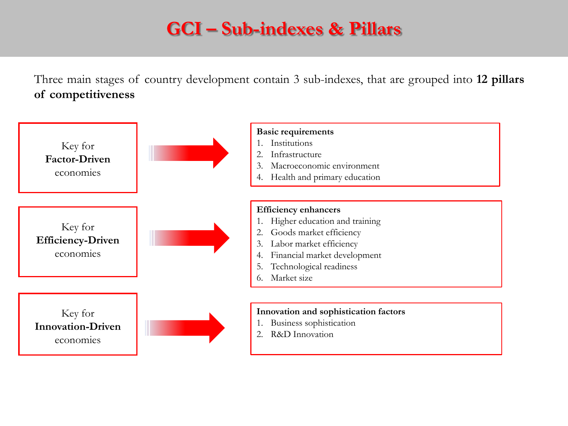# **GCI – Sub-indexes & Pillars**

Three main stages of country development contain 3 sub-indexes, that are grouped into **12 pillars of competitiveness**

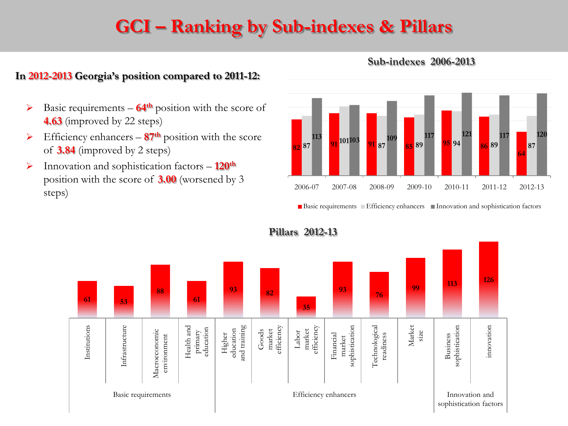# **GCI – Ranking by Sub-indexes & Pillars**

### **In 2012-2013 Georgia's position compared to 2011-12:**

- Basic requirements **64th** position with the score of **4.63** (improved by 22 steps)
- $\triangleright$  Efficiency enhancers  $87<sup>th</sup>$  position with the score of **3.84** (improved by 2 steps)
- Innovation and sophistication factors **120th** position with the score of **3.00** (worsened by 3 steps)



#### **Sub-indexes 2006-2013**

■ Basic requirements ■ Efficiency enhancers ■ Innovation and sophistication factors



**Pillars 2012-13**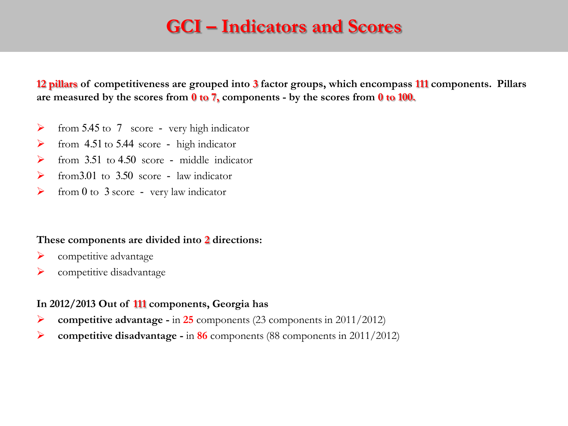### **GCI – Indicators and Scores**

**12 pillars of competitiveness are grouped into 3 factor groups, which encompass 111 components. Pillars are measured by the scores from 0 to 7, components - by the scores from 0 to 100.**

- $\triangleright$  from 5.45 to 7 score very high indicator
- $\triangleright$  from 4.51 to 5.44 score high indicator
- $\triangleright$  from 3.51 to 4.50 score middle indicator
- $\triangleright$  from 3.01 to 3.50 score law indicator
- $\triangleright$  from 0 to 3 score very law indicator

#### **These components are divided into 2 directions**:

- $\triangleright$  competitive advantage
- competitive disadvantage

### **In 2012/2013 Out of 111 components, Georgia has**

- **competitive advantage -** in **25** components (23 components in 2011/2012)
- **competitive disadvantage -** in **86** components (88 components in 2011/2012)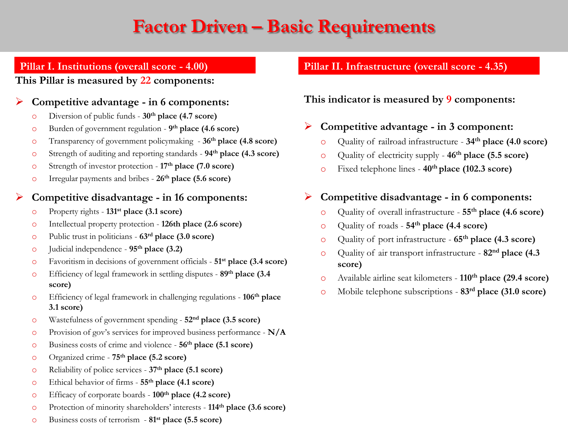## **Factor Driven – Basic Requirements**

### **Pillar I. Institutions (overall score - 4.00)**

#### **This Pillar is measured by 22 components:**

#### **Competitive advantage - in 6 components:**

- o Diversion of public funds **30th place (4.7 score)**
- o Burden of government regulation **9 th place (4.6 score)**
- o Transparency of government policymaking **36th place (4.8 score)**
- o Strength of auditing and reporting standards **94th place (4.3 score)**
- o Strength of investor protection **17th place (7.0 score)**
- o Irregular payments and bribes **26th place (5.6 score)**

#### **Competitive disadvantage - in 16 components:**

- o Property rights **131st place (3.1 score)**
- o Intellectual property protection **126th place (2.6 score)**
- o Public trust in politicians **63rd place (3.0 score)**
- o Judicial independence **95th place (3.2)**
- o Favoritism in decisions of government officials **51st place (3.4 score)**
- o Efficiency of legal framework in settling disputes **89th place (3.4 score)**
- o Efficiency of legal framework in challenging regulations **106th place 3.1 score)**
- o Wastefulness of government spending **52nd place (3.5 score)**
- o Provision of gov's services for improved business performance **N/A**
- o Business costs of crime and violence **56th place (5.1 score)**
- o Organized crime **75th place (5.2 score)**
- o Reliability of police services **37th place (5.1 score)**
- o Ethical behavior of firms **55th place (4.1 score)**
- o Efficacy of corporate boards **100th place (4.2 score)**
- o Protection of minority shareholders' interests **114th place (3.6 score)**
- o Business costs of terrorism **81st place (5.5 score)**

### **Pillar II. Infrastructure (overall score - 4.35)**

**This indicator is measured by 9 components:**

### **Competitive advantage - in 3 component:**

- o Quality of railroad infrastructure **34th place (4.0 score)**
- o Quality of electricity supply **46th place (5.5 score)**
- o Fixed telephone lines **40th place (102.3 score)**

### **Competitive disadvantage - in 6 components:**

- o Quality of overall infrastructure **55th place (4.6 score)**
- o Quality of roads **54th place (4.4 score)**
- o Quality of port infrastructure **65th place (4.3 score)**
- o Quality of air transport infrastructure **82nd place (4.3 score)**
- o Available airline seat kilometers **110th place (29.4 score)**
- o Mobile telephone subscriptions **83rd place (31.0 score)**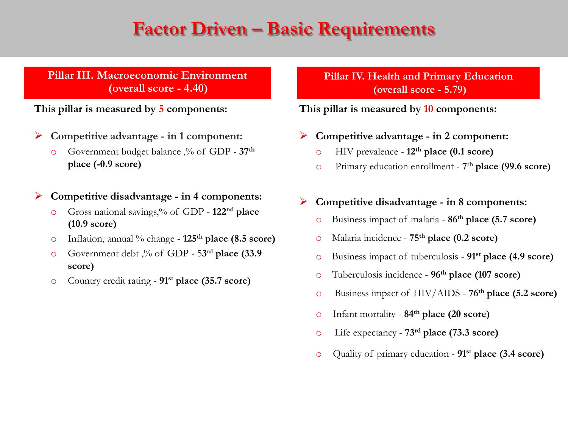### **Factor Driven – Basic Requirements**

### **Pillar III. Macroeconomic Environment (overall score - 4.40)**

**This pillar is measured by 5 components:**

- **Competitive advantage - in 1 component:**
	- o Government budget balance ,% of GDP **37th place (-0.9 score)**

#### **Competitive disadvantage - in 4 components:**

- o Gross national savings,% of GDP **122nd place (10.9 score)**
- o Inflation, annual % change **125th place (8.5 score)**
- o Government debt ,% of GDP 5**3 rd place (33.9 score)**
- o Country credit rating **91st place (35.7 score)**

**Pillar IV. Health and Primary Education (overall score - 5.79)**

#### **This pillar is measured by 10 components:**

- **Competitive advantage - in 2 component:**
	- o HIV prevalence **12th place (0.1 score)**
	- o Primary education enrollment **7 th place (99.6 score)**

### **Competitive disadvantage - in 8 components:**

- o Business impact of malaria **86th place (5.7 score)**
- o Malaria incidence **75th place (0.2 score)**
- o Business impact of tuberculosis **91st place (4.9 score)**
- o Tuberculosis incidence **96th place (107 score)**
- o Business impact of HIV/AIDS **76th place (5.2 score)**
- o Infant mortality **84th place (20 score)**
- o Life expectancy **73rd place (73.3 score)**
- o Quality of primary education **91st place (3.4 score)**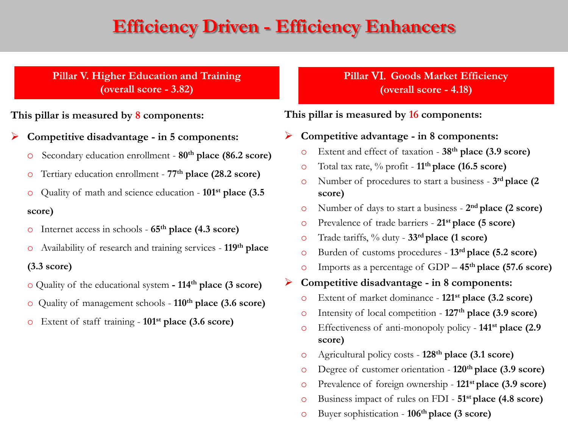### **Efficiency Driven - Efficiency Enhancers**

**Pillar V. Higher Education and Training (overall score - 3.82)**

**This pillar is measured by 8 components:**

**Competitive disadvantage - in 5 components:**

- o Secondary education enrollment **80th place (86.2 score)**
- o Tertiary education enrollment **77th place (28.2 score)**
- o Quality of math and science education **101st place (3.5 score)**
- o Internet access in schools **65th place (4.3 score)**
- o Availability of research and training services **119th place (3.3 score)**
- o Quality of the educational system **- 114th place (3 score)**
- o Quality of management schools **110th place (3.6 score)**
- o Extent of staff training **101st place (3.6 score)**

**Pillar** VI. **Goods Market Efficiency (overall score - 4.18)**

**This pillar is measured by 16 components:**

**Competitive advantage - in 8 components:**

- o Extent and effect of taxation **38th place (3.9 score)**
- o Total tax rate, % profit **11th place (16.5 score)**
- o Number of procedures to start a business **3 rd place (2 score)**
- o Number of days to start a business **2 nd place (2 score)**
- o Prevalence of trade barriers **21st place (5 score)**
- o Trade tariffs, % duty **33rd place (1 score)**
- o Burden of customs procedures **13rd place (5.2 score)**
- o Imports as a percentage of GDP **45th place (57.6 score)**
- **Competitive disadvantage - in 8 components:**
	- o Extent of market dominance **121st place (3.2 score)**
	- o Intensity of local competition **127th place (3.9 score)**
	- o Effectiveness of anti-monopoly policy **141st place (2.9 score)**
	- o Agricultural policy costs **128th place (3.1 score)**
	- o Degree of customer orientation **120th place (3.9 score)**
	- o Prevalence of foreign ownership **121st place (3.9 score)**
	- o Business impact of rules on FDI **51st place (4.8 score)**
	- o Buyer sophistication **106th place (3 score)**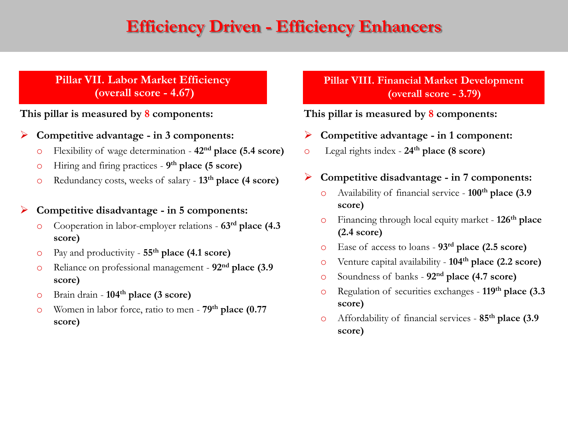### **Efficiency Driven - Efficiency Enhancers**

#### **Pillar VII. Labor Market Efficiency (overall score - 4.67)**

**This pillar is measured by 8 components:**

- **Competitive advantage - in 3 components:**
	- o Flexibility of wage determination **42nd place (5.4 score)**
	- o Hiring and firing practices **9 th place (5 score)**
	- o Redundancy costs, weeks of salary **13th place (4 score)**

#### **Competitive disadvantage - in 5 components:**

- o Cooperation in labor-employer relations **63rd place (4.3 score)**
- o Pay and productivity **55th place (4.1 score)**
- o Reliance on professional management **92nd place (3.9 score)**
- o Brain drain **104th place (3 score)**
- o Women in labor force, ratio to men **79th place (0.77 score)**

**Pillar VIII. Financial Market Development (overall score - 3.79)** 

#### **This pillar is measured by 8 components:**

- **Competitive advantage - in 1 component:**
- o Legal rights index **24th place (8 score)**

#### **Competitive disadvantage - in 7 components:**

- o Availability of financial service **100th place (3.9 score)**
- o Financing through local equity market **126th place (2.4 score)**
- o Ease of access to loans **93rd place (2.5 score)**
- o Venture capital availability **104th place (2.2 score)**
- o Soundness of banks **92nd place (4.7 score)**
- o Regulation of securities exchanges **119th place (3.3 score)**
- o Affordability of financial services **85th place (3.9 score)**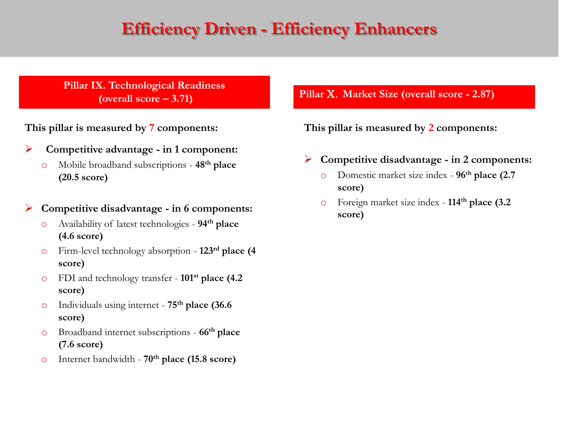### **Efficiency Driven - Efficiency Enhancers**

**Pillar IX. Technological Readiness**

**This pillar is measured by 7 components:**

- **Competitive advantage - in 1 component:**
	- o Mobile broadband subscriptions **48th place (20.5 score)**

**Competitive disadvantage - in 6 components:**

- o Availability of latest technologies **94th place (4.6 score)**
- o Firm-level technology absorption **123rd place (4 score)**
- o FDI and technology transfer **101st place (4.2 score)**
- o Individuals using internet **75th place (36.6 score)**
- o Broadband internet subscriptions **66th place (7.6 score)**
- o Internet bandwidth **70th place (15.8 score)**

**(overall score – 3.71) Pillar** X. **Market Size (overall score - 2.87)**

**This pillar is measured by 2 components:**

- **Competitive disadvantage - in 2 components:**
	- o Domestic market size index **96th place (2.7 score)**
	- o Foreign market size index **114th place (3.2 score)**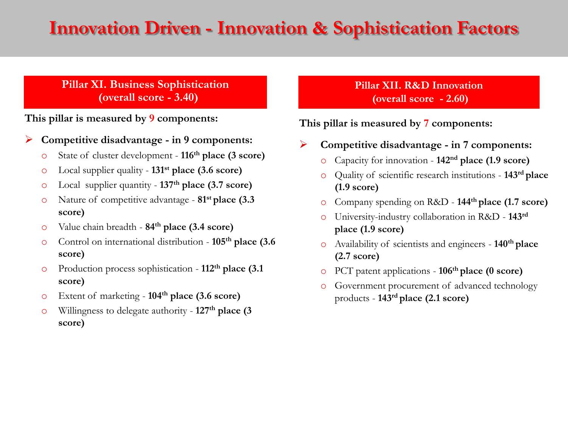### **Innovation Driven - Innovation & Sophistication Factors**

### **Pillar XI. Business Sophistication (overall score - 3.40)**

**This pillar is measured by 9 components:**

- **Competitive disadvantage - in 9 components:**
	- o State of cluster development **116th place (3 score)**
	- o Local supplier quality **131st place (3.6 score)**
	- o Local supplier quantity **137th place (3.7 score)**
	- o Nature of competitive advantage **81st place (3.3 score)**
	- o Value chain breadth **84th place (3.4 score)**
	- o Control on international distribution **105th place (3.6 score)**
	- o Production process sophistication **112th place (3.1 score)**
	- o Extent of marketing **104th place (3.6 score)**
	- o Willingness to delegate authority **127th place (3 score)**

### **Pillar XII. R&D Innovation (overall score - 2.60)**

### **This pillar is measured by 7 components:**

- **Competitive disadvantage - in 7 components:**
	- o Capacity for innovation **142nd place (1.9 score)**
	- o Quality of scientific research institutions **143rd place (1.9 score)**
	- o Company spending on R&D **144th place (1.7 score)**
	- o University-industry collaboration in R&D **143rd place (1.9 score)**
	- o Availability of scientists and engineers **140th place (2.7 score)**
	- o PCT patent applications **106th place (0 score)**
	- o Government procurement of advanced technology products - **143rd place (2.1 score)**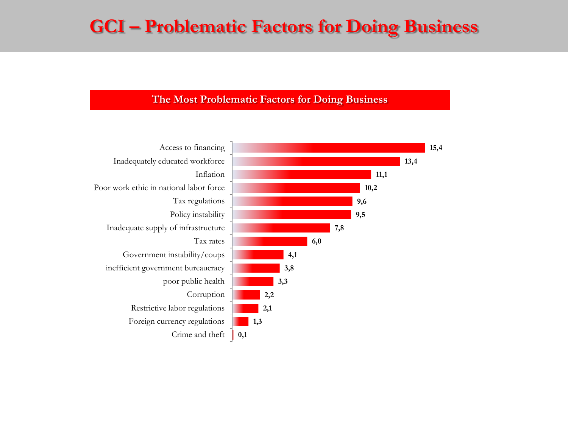### **GCI – Problematic Factors for Doing Business**

#### **The Most Problematic Factors for Doing Business**